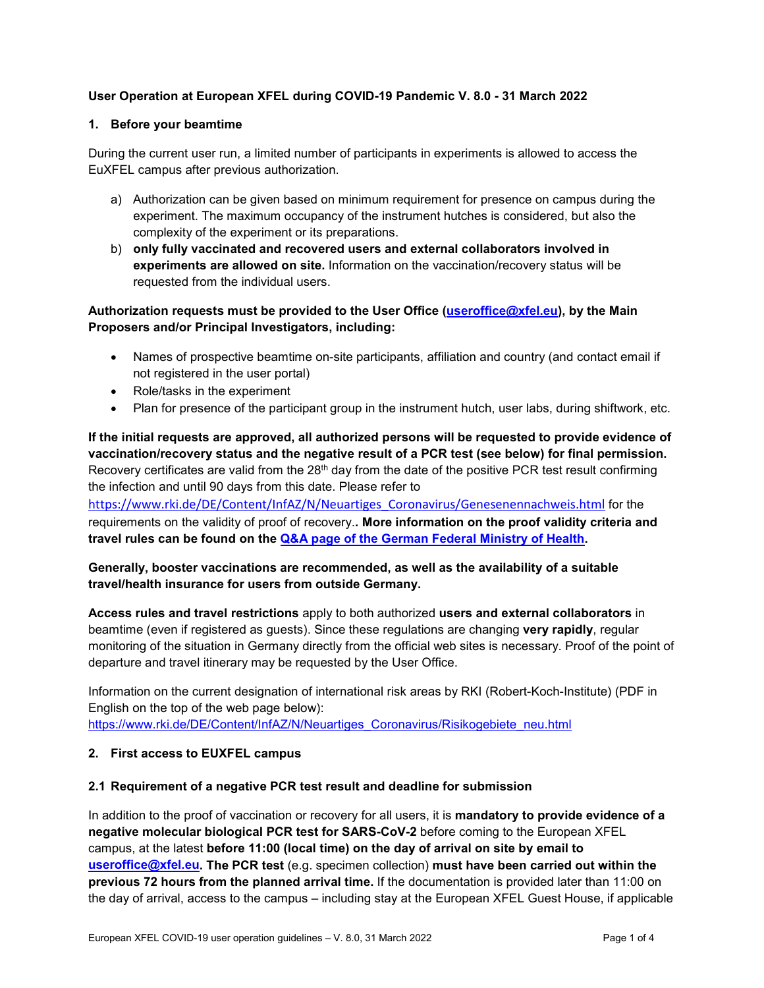# **User Operation at European XFEL during COVID-19 Pandemic V. 8.0 - 31 March 2022**

### **1. Before your beamtime**

During the current user run, a limited number of participants in experiments is allowed to access the EuXFEL campus after previous authorization.

- a) Authorization can be given based on minimum requirement for presence on campus during the experiment. The maximum occupancy of the instrument hutches is considered, but also the complexity of the experiment or its preparations.
- b) **only fully vaccinated and recovered users and external collaborators involved in experiments are allowed on site.** Information on the vaccination/recovery status will be requested from the individual users.

# **Authorization requests must be provided to the User Office [\(useroffice@xfel.eu\)](mailto:useroffice@xfel.eu), by the Main Proposers and/or Principal Investigators, including:**

- Names of prospective beamtime on-site participants, affiliation and country (and contact email if not registered in the user portal)
- Role/tasks in the experiment
- Plan for presence of the participant group in the instrument hutch, user labs, during shiftwork, etc.

# **If the initial requests are approved, all authorized persons will be requested to provide evidence of vaccination/recovery status and the negative result of a PCR test (see below) for final permission.** Recovery certificates are valid from the 28<sup>th</sup> day from the date of the positive PCR test result confirming the infection and until 90 days from this date. Please refer to

[https://www.rki.de/DE/Content/InfAZ/N/Neuartiges\\_Coronavirus/Genesenennachweis.html](https://www.rki.de/DE/Content/InfAZ/N/Neuartiges_Coronavirus/Genesenennachweis.html) for the requirements on the validity of proof of recovery.**. More information on the proof validity criteria and travel rules can be found on the [Q&A page of the German Federal Ministry of Health.](https://www.bundesgesundheitsministerium.de/en/coronavirus/infos-reisende/faq-tests-einreisende.html?fbclid=IwAR2rUp32l5P_CZhDgaUNk5wcp8Xt3yoLW1W7kCFFZVZ45vncUlnJ6GERwHI#c20266)**

## **Generally, booster vaccinations are recommended, as well as the availability of a suitable travel/health insurance for users from outside Germany.**

**Access rules and travel restrictions** apply to both authorized **users and external collaborators** in beamtime (even if registered as guests). Since these regulations are changing **very rapidly**, regular monitoring of the situation in Germany directly from the official web sites is necessary. Proof of the point of departure and travel itinerary may be requested by the User Office.

Information on the current designation of international risk areas by RKI (Robert-Koch-Institute) (PDF in English on the top of the web page below): [https://www.rki.de/DE/Content/InfAZ/N/Neuartiges\\_Coronavirus/Risikogebiete\\_neu.html](https://www.rki.de/DE/Content/InfAZ/N/Neuartiges_Coronavirus/Risikogebiete_neu.html)

## **2. First access to EUXFEL campus**

### **2.1 Requirement of a negative PCR test result and deadline for submission**

In addition to the proof of vaccination or recovery for all users, it is **mandatory to provide evidence of a negative molecular biological PCR test for SARS-CoV-2** before coming to the European XFEL campus, at the latest **before 11:00 (local time) on the day of arrival on site by email to [useroffice@xfel.eu.](mailto:useroffice@xfel.eu) The PCR test** (e.g. specimen collection) **must have been carried out within the previous 72 hours from the planned arrival time.** If the documentation is provided later than 11:00 on the day of arrival, access to the campus – including stay at the European XFEL Guest House, if applicable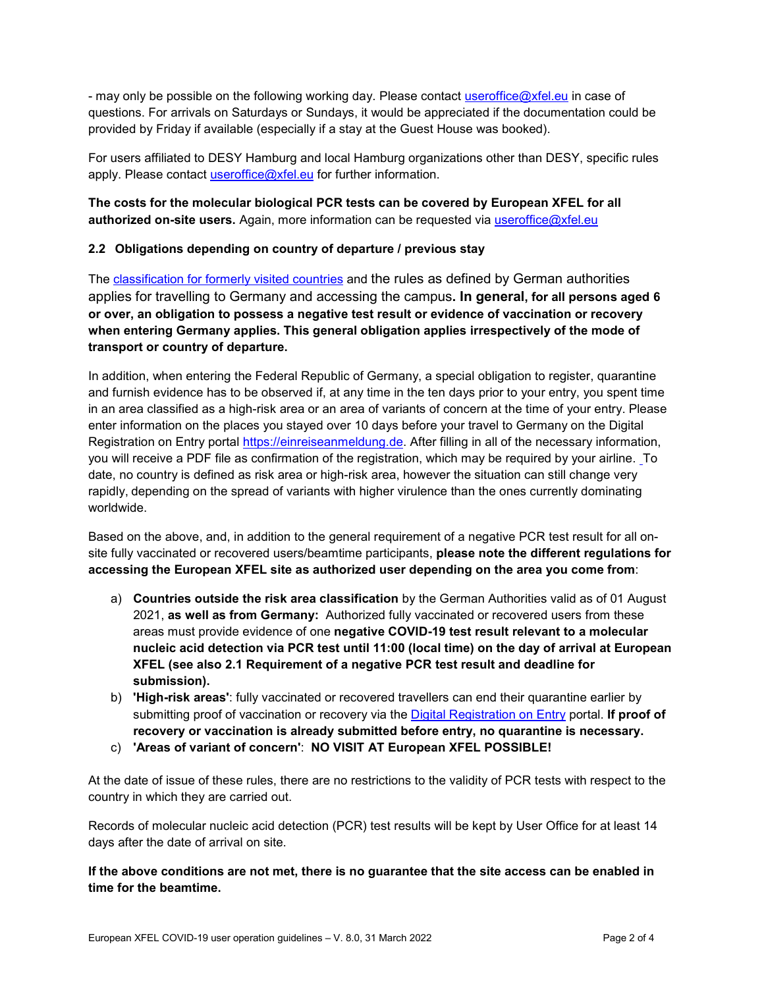- may only be possible on the following working day. Please contact [useroffice@xfel.eu](mailto:useroffice@xfel.eu) in case of questions. For arrivals on Saturdays or Sundays, it would be appreciated if the documentation could be provided by Friday if available (especially if a stay at the Guest House was booked).

For users affiliated to DESY Hamburg and local Hamburg organizations other than DESY, specific rules apply. Please contact [useroffice@xfel.eu](mailto:useroffice@xfel.eu) for further information.

# **The costs for the molecular biological PCR tests can be covered by European XFEL for all authorized on-site users.** Again, more information can be requested via [useroffice@xfel.eu](mailto:useroffice@xfel.eu)

## **2.2 Obligations depending on country of departure / previous stay**

The [classification for formerly visited countries](https://www.rki.de/DE/Content/InfAZ/N/Neuartiges_Coronavirus/Risikogebiete_neu.html) and the rules as defined by German authorities applies for travelling to Germany and accessing the campus**. In general, for all persons aged 6 or over, an obligation to possess a negative test result or evidence of vaccination or recovery when entering Germany applies. This general obligation applies irrespectively of the mode of transport or country of departure.** 

In addition, when entering the Federal Republic of Germany, a special obligation to register, quarantine and furnish evidence has to be observed if, at any time in the ten days prior to your entry, you spent time in an area classified as a high-risk area or an area of variants of concern at the time of your entry. Please enter information on the places you stayed over 10 days before your travel to Germany on the Digital Registration on Entry portal [https://einreiseanmeldung.de.](https://einreiseanmeldung.de/) After filling in all of the necessary information, you will receive a PDF file as confirmation of the registration, which may be required by your airline. To date, no country is defined as risk area or high-risk area, however the situation can still change very rapidly, depending on the spread of variants with higher virulence than the ones currently dominating worldwide.

Based on the above, and, in addition to the general requirement of a negative PCR test result for all onsite fully vaccinated or recovered users/beamtime participants, **please note the different regulations for accessing the European XFEL site as authorized user depending on the area you come from**:

- a) **Countries outside the risk area classification** by the German Authorities valid as of 01 August 2021, **as well as from Germany:** Authorized fully vaccinated or recovered users from these areas must provide evidence of one **negative COVID-19 test result relevant to a molecular nucleic acid detection via PCR test until 11:00 (local time) on the day of arrival at European XFEL (see also 2.1 Requirement of a negative PCR test result and deadline for submission).**
- b) **'High-risk areas'**: fully vaccinated or recovered travellers can end their quarantine earlier by submitting proof of vaccination or recovery via the [Digital Registration on Entry](https://einreiseanmeldung.de/) portal. **If proof of recovery or vaccination is already submitted before entry, no quarantine is necessary.**
- c) **'Areas of variant of concern'**: **NO VISIT AT European XFEL POSSIBLE!**

At the date of issue of these rules, there are no restrictions to the validity of PCR tests with respect to the country in which they are carried out.

Records of molecular nucleic acid detection (PCR) test results will be kept by User Office for at least 14 days after the date of arrival on site.

**If the above conditions are not met, there is no guarantee that the site access can be enabled in time for the beamtime.**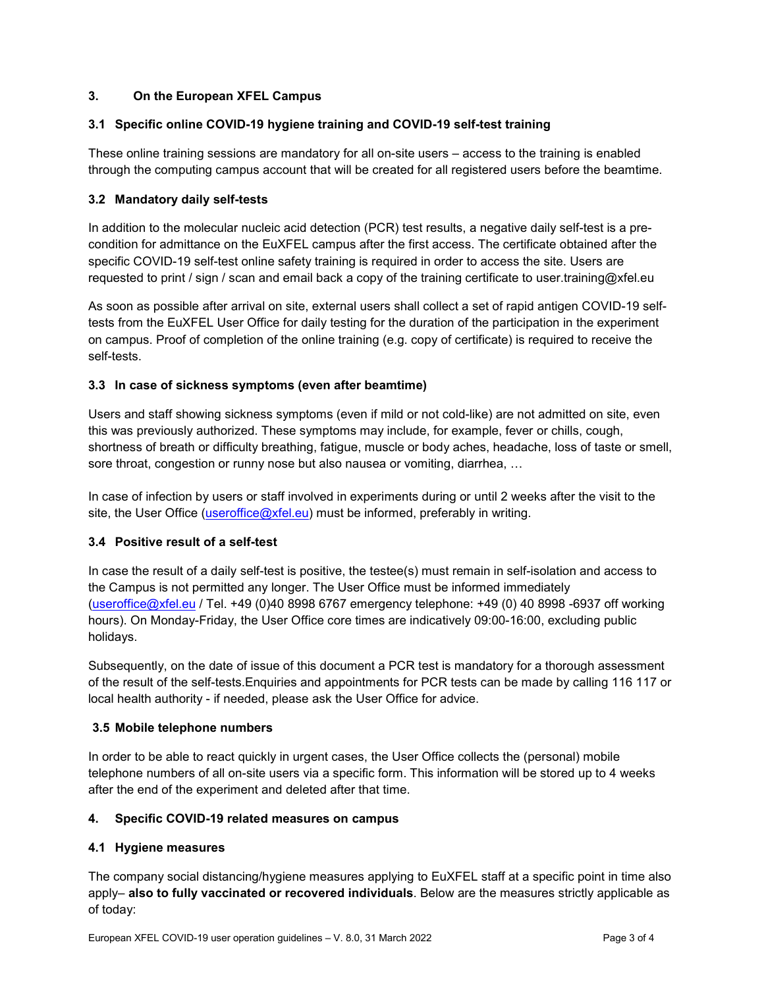## **3. On the European XFEL Campus**

### **3.1 Specific online COVID-19 hygiene training and COVID-19 self-test training**

These online training sessions are mandatory for all on-site users – access to the training is enabled through the computing campus account that will be created for all registered users before the beamtime.

## **3.2 Mandatory daily self-tests**

In addition to the molecular nucleic acid detection (PCR) test results, a negative daily self-test is a precondition for admittance on the EuXFEL campus after the first access. The certificate obtained after the specific COVID-19 self-test online safety training is required in order to access the site. Users are requested to print / sign / scan and email back a copy of the training certificate to user.training@xfel.eu

As soon as possible after arrival on site, external users shall collect a set of rapid antigen COVID-19 selftests from the EuXFEL User Office for daily testing for the duration of the participation in the experiment on campus. Proof of completion of the online training (e.g. copy of certificate) is required to receive the self-tests.

### **3.3 In case of sickness symptoms (even after beamtime)**

Users and staff showing sickness symptoms (even if mild or not cold-like) are not admitted on site, even this was previously authorized. These symptoms may include, for example, fever or chills, cough, shortness of breath or difficulty breathing, fatigue, muscle or body aches, headache, loss of taste or smell, sore throat, congestion or runny nose but also nausea or vomiting, diarrhea, …

In case of infection by users or staff involved in experiments during or until 2 weeks after the visit to the site, the User Office [\(useroffice@xfel.eu\)](mailto:useroffice@xfel.eu) must be informed, preferably in writing.

### **3.4 Positive result of a self-test**

In case the result of a daily self-test is positive, the testee(s) must remain in self-isolation and access to the Campus is not permitted any longer. The User Office must be informed immediately [\(useroffice@xfel.eu](mailto:useroffice@xfel.eu) / Tel. +49 (0)40 8998 6767 emergency telephone: +49 (0) 40 8998 -6937 off working hours). On Monday-Friday, the User Office core times are indicatively 09:00-16:00, excluding public holidays.

Subsequently, on the date of issue of this document a PCR test is mandatory for a thorough assessment of the result of the self-tests.Enquiries and appointments for PCR tests can be made by calling 116 117 or local health authority - if needed, please ask the User Office for advice.

### **3.5 Mobile telephone numbers**

In order to be able to react quickly in urgent cases, the User Office collects the (personal) mobile telephone numbers of all on-site users via a specific form. This information will be stored up to 4 weeks after the end of the experiment and deleted after that time.

### **4. Specific COVID-19 related measures on campus**

### **4.1 Hygiene measures**

The company social distancing/hygiene measures applying to EuXFEL staff at a specific point in time also apply– **also to fully vaccinated or recovered individuals**. Below are the measures strictly applicable as of today: